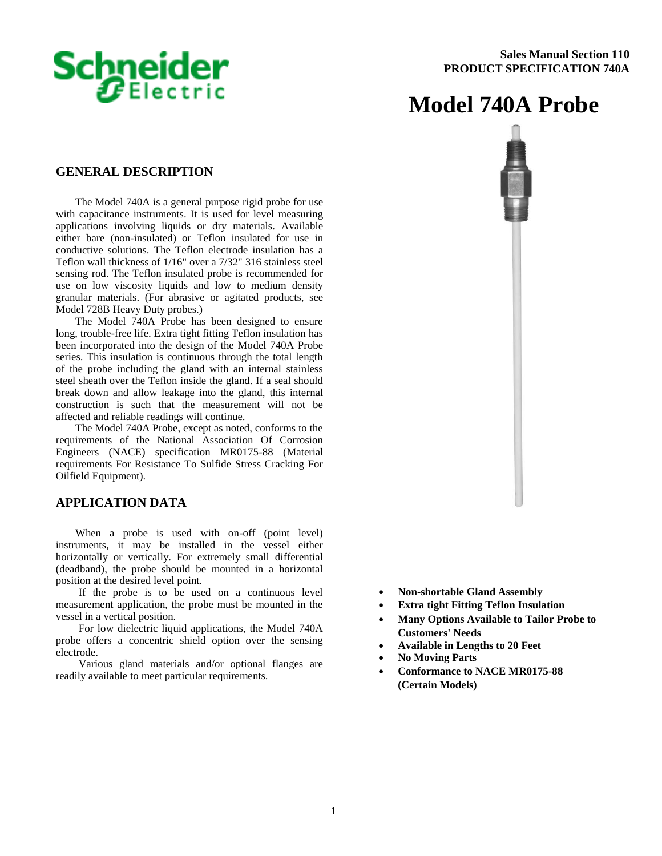

# **Model 740A Probe**

#### **GENERAL DESCRIPTION**

The Model 740A is a general purpose rigid probe for use with capacitance instruments. It is used for level measuring applications involving liquids or dry materials. Available either bare (non-insulated) or Teflon insulated for use in conductive solutions. The Teflon electrode insulation has a Teflon wall thickness of 1/16" over a 7/32" 316 stainless steel sensing rod. The Teflon insulated probe is recommended for use on low viscosity liquids and low to medium density granular materials. (For abrasive or agitated products, see Model 728B Heavy Duty probes.)

The Model 740A Probe has been designed to ensure long, trouble-free life. Extra tight fitting Teflon insulation has been incorporated into the design of the Model 740A Probe series. This insulation is continuous through the total length of the probe including the gland with an internal stainless steel sheath over the Teflon inside the gland. If a seal should break down and allow leakage into the gland, this internal construction is such that the measurement will not be affected and reliable readings will continue.

The Model 740A Probe, except as noted, conforms to the requirements of the National Association Of Corrosion Engineers (NACE) specification MR0175-88 (Material requirements For Resistance To Sulfide Stress Cracking For Oilfield Equipment).

#### **APPLICATION DATA**

When a probe is used with on-off (point level) instruments, it may be installed in the vessel either horizontally or vertically. For extremely small differential (deadband), the probe should be mounted in a horizontal position at the desired level point.

If the probe is to be used on a continuous level measurement application, the probe must be mounted in the vessel in a vertical position.

For low dielectric liquid applications, the Model 740A probe offers a concentric shield option over the sensing electrode.

Various gland materials and/or optional flanges are readily available to meet particular requirements.



- **Non-shortable Gland Assembly**
- **Extra tight Fitting Teflon Insulation**
- **Many Options Available to Tailor Probe to Customers' Needs**
- **Available in Lengths to 20 Feet**
- **No Moving Parts**
- **Conformance to NACE MR0175-88 (Certain Models)**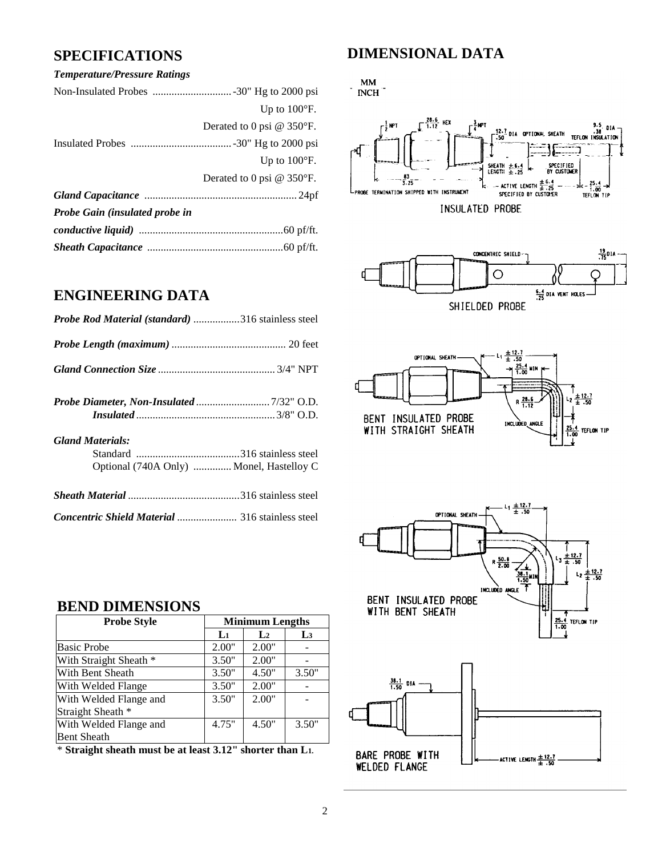#### *Temperature/Pressure Ratings*

|                                | Up to $100^{\circ}$ F.      |
|--------------------------------|-----------------------------|
|                                | Derated to 0 psi $@$ 350°F. |
|                                |                             |
|                                | Up to $100^{\circ}$ F.      |
|                                | Derated to 0 psi $@$ 350°F. |
|                                |                             |
| Probe Gain (insulated probe in |                             |
|                                |                             |
|                                |                             |

## **ENGINEERING DATA**

| Probe Rod Material (standard) 316 stainless steel |  |
|---------------------------------------------------|--|
|                                                   |  |
|                                                   |  |
|                                                   |  |
|                                                   |  |
| <b>Gland Materials:</b>                           |  |
|                                                   |  |
| Optional (740A Only)  Monel, Hastelloy C          |  |
|                                                   |  |
| Concentric Shield Material  316 stainless steel   |  |

## **SPECIFICATIONS DIMENSIONAL DATA**

# $\cdot$  MM  $\cdot$  NCH  $\cdot$









### **BEND DIMENSIONS**

| <b>Probe Style</b>     |              | <b>Minimum Lengths</b> |                |
|------------------------|--------------|------------------------|----------------|
|                        | $\mathbf{L}$ | $\mathbf{L}$           | L <sub>3</sub> |
| <b>Basic Probe</b>     | 2.00"        | 2.00"                  |                |
| With Straight Sheath * | 3.50"        | 2.00"                  |                |
| With Bent Sheath       | 3.50"        | 4.50"                  | 3.50"          |
| With Welded Flange     | 3.50"        | 2.00"                  |                |
| With Welded Flange and | 3.50"        | 2.00"                  |                |
| Straight Sheath *      |              |                        |                |
| With Welded Flange and | 4.75"        | 4.50"                  | 3.50"          |
| <b>Bent Sheath</b>     |              |                        |                |

\* **Straight sheath must be at least 3.12" shorter than L1.**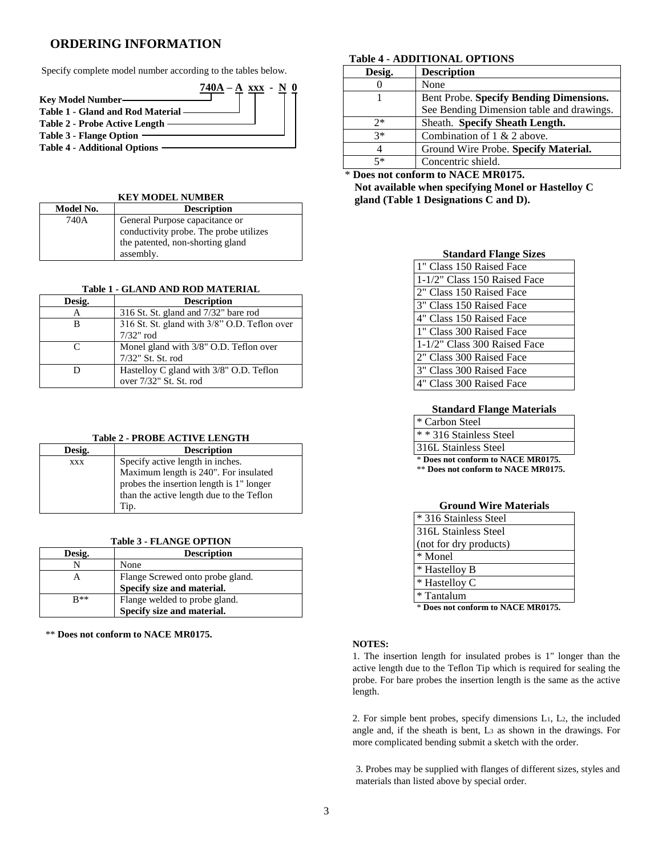### **ORDERING INFORMATION**

Specify complete model number according to the tables below.



#### **KEY MODEL NUMBER**

| Model No. | <b>Description</b>                     |
|-----------|----------------------------------------|
| 740A      | General Purpose capacitance or         |
|           | conductivity probe. The probe utilizes |
|           | the patented, non-shorting gland       |
|           | assembly.                              |

#### **Table 1 - GLAND AND ROD MATERIAL**

| Desig.        | <b>Description</b>                           |
|---------------|----------------------------------------------|
|               | 316 St. St. gland and 7/32" bare rod         |
| R             | 316 St. St. gland with 3/8" O.D. Teflon over |
|               | $7/32$ " rod                                 |
| $\mathcal{C}$ | Monel gland with 3/8" O.D. Teflon over       |
|               | 7/32" St. St. rod                            |
|               | Hastelloy C gland with 3/8" O.D. Teflon      |
|               | over 7/32" St. St. rod                       |

#### **Table 2 - PROBE ACTIVE LENGTH**

| Desig.     | <b>Description</b>                       |
|------------|------------------------------------------|
| <b>XXX</b> | Specify active length in inches.         |
|            | Maximum length is 240". For insulated    |
|            | probes the insertion length is 1" longer |
|            | than the active length due to the Teflon |
|            | Tip.                                     |

#### **Table 3 - FLANGE OPTION**

| Desig. | <b>Description</b>               |
|--------|----------------------------------|
|        | None                             |
| А      | Flange Screwed onto probe gland. |
|        | Specify size and material.       |
| $R**$  | Flange welded to probe gland.    |
|        | Specify size and material.       |

\*\* **Does not conform to NACE MR0175.**

#### **Table 4 - ADDITIONAL OPTIONS**

| Desig. | <b>Description</b>                        |
|--------|-------------------------------------------|
|        | None                                      |
|        | Bent Probe. Specify Bending Dimensions.   |
|        | See Bending Dimension table and drawings. |
| つ*     | Sheath. Specify Sheath Length.            |
| $3*$   | Combination of $1 \& 2$ above.            |
|        | Ground Wire Probe. Specify Material.      |
| 5*     | Concentric shield.                        |

#### Does not conform to NACE MR0175.

**Not available when specifying Monel or Hastelloy C gland (Table 1 Designations C and D).**

#### **Standard Flange Sizes**

| 1 T Class 150 Raised Face    |
|------------------------------|
| 1-1/2" Class 150 Raised Face |
| 2" Class 150 Raised Face     |
| 3" Class 150 Raised Face     |
| 4" Class 150 Raised Face     |
| 1 T Class 300 Raised Face    |
| 1-1/2" Class 300 Raised Face |
| 2" Class 300 Raised Face     |
| 3" Class 300 Raised Face     |
| 4" Class 300 Raised Face     |

#### **Standard Flange Materials**

#### \* Carbon Steel \* \* 316 Stainless Steel

316L Stainless Steel

\* **Does not conform to NACE MR0175.**

\*\* **Does not conform to NACE MR0175.**

| <b>Ground Wire Materials</b> |
|------------------------------|
| * 316 Stainless Steel        |
| 316L Stainless Steel         |
| (not for dry products)       |
| * Monel                      |
| * Hastelloy B                |
| * Hastelloy C                |
| * Tantalum                   |

\* **Does not conform to NACE MR0175.**

#### **NOTES:**

1. The insertion length for insulated probes is 1" longer than the active length due to the Teflon Tip which is required for sealing the probe. For bare probes the insertion length is the same as the active length.

2. For simple bent probes, specify dimensions L1, L2, the included angle and, if the sheath is bent, L<sup>3</sup> as shown in the drawings. For more complicated bending submit a sketch with the order.

3. Probes may be supplied with flanges of different sizes, styles and materials than listed above by special order.